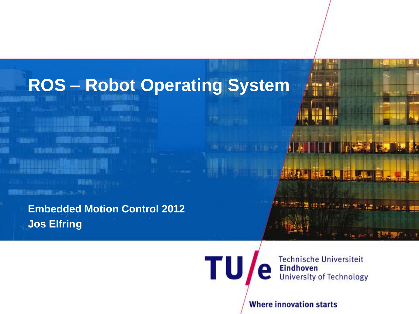## **ROS – Robot Operating System**

**Embedded Motion Control 2012 Jos Elfring**

普遍教理兰森田山府号参照三百年三、2、17年

**SOUTH** 

**TU** 

**Technische Universiteit Eindhoven University of Technology** 

號碼

**THE R. P.** 

**Where innovation starts** 

**FILL**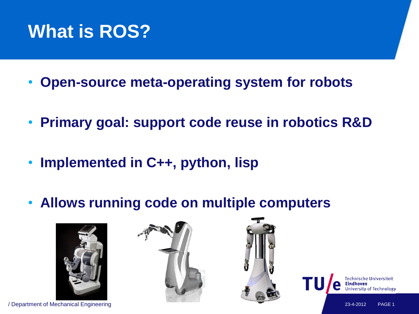## **What is ROS?**

- **Open-source meta-operating system for robots**
- **Primary goal: support code reuse in robotics R&D**
- **Implemented in C++, python, lisp**
- **Allows running code on multiple computers**





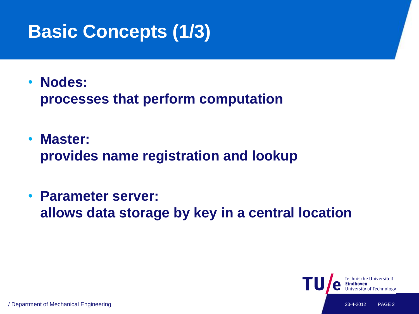# **Basic Concepts (1/3)**

• **Nodes:**

**processes that perform computation**

- **Master: provides name registration and lookup**
- **Parameter server: allows data storage by key in a central location**

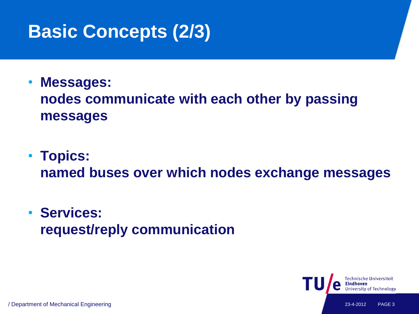# **Basic Concepts (2/3)**

#### • **Messages: nodes communicate with each other by passing messages**

• **Topics: named buses over which nodes exchange messages**

#### • **Services: request/reply communication**

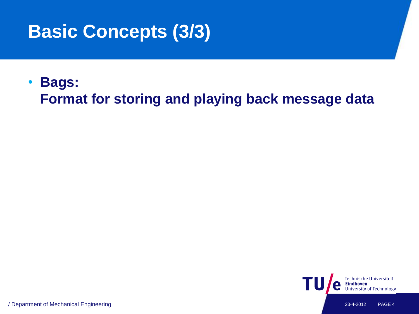# **Basic Concepts (3/3)**

#### • **Bags: Format for storing and playing back message data**

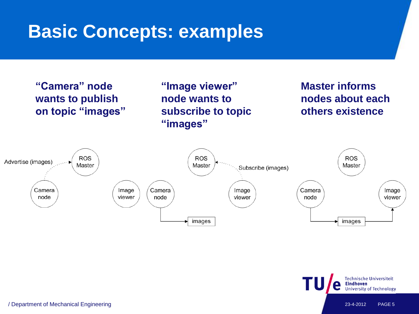

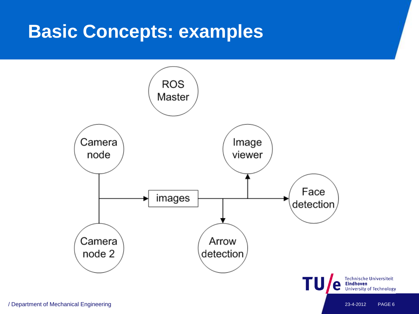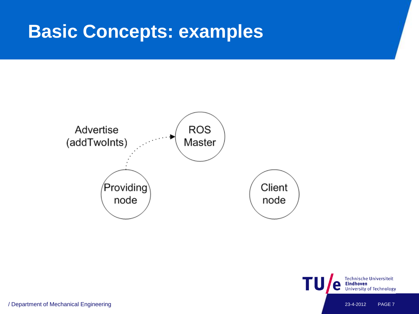

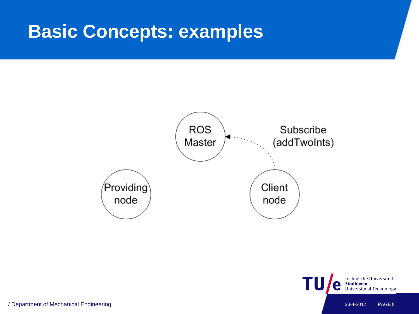

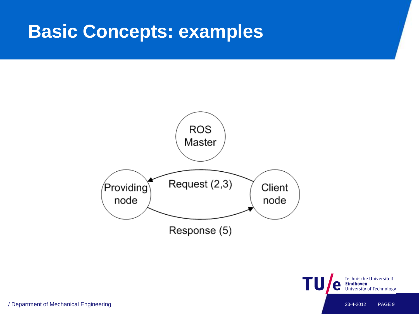

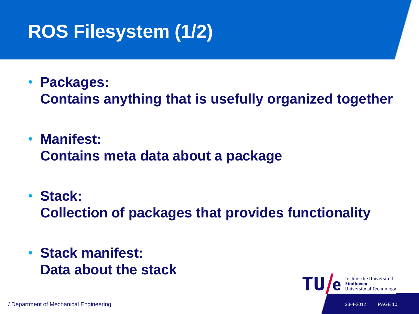# **ROS Filesystem (1/2)**

• **Packages:**

**Contains anything that is usefully organized together**

- **Manifest: Contains meta data about a package**
- **Stack: Collection of packages that provides functionality**
- **Stack manifest: Data about the stack**

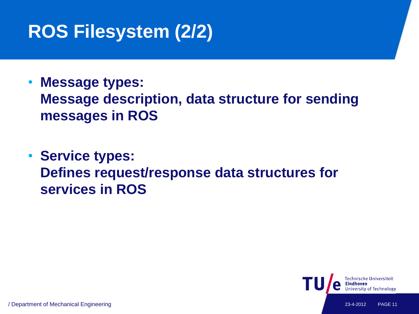# **ROS Filesystem (2/2)**

- **Message types: Message description, data structure for sending messages in ROS**
- **Service types: Defines request/response data structures for services in ROS**

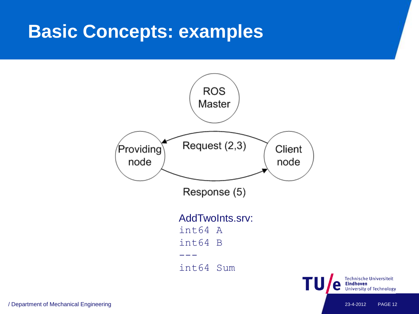